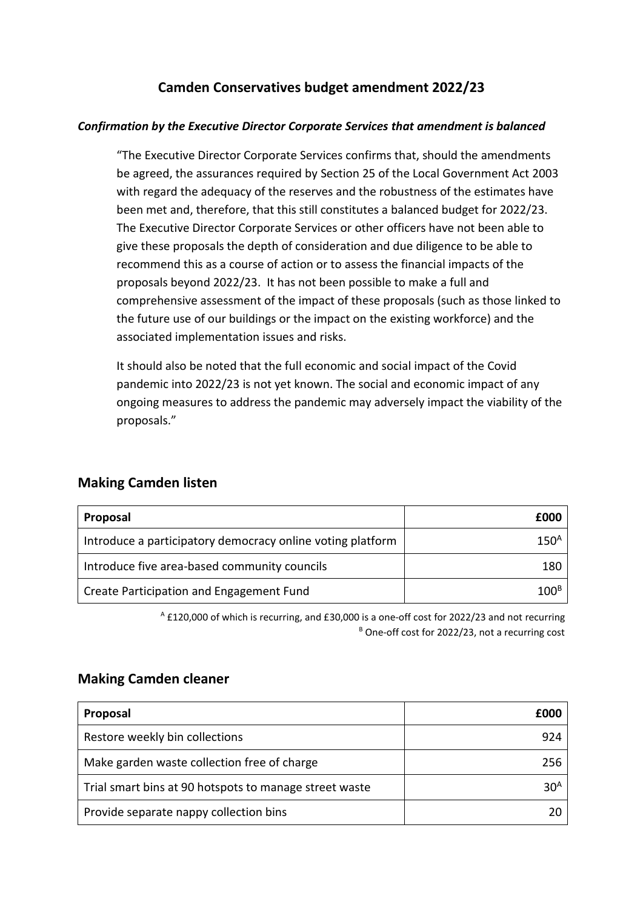## **Camden Conservatives budget amendment 2022/23**

#### *Confirmation by the Executive Director Corporate Services that amendment is balanced*

"The Executive Director Corporate Services confirms that, should the amendments be agreed, the assurances required by Section 25 of the Local Government Act 2003 with regard the adequacy of the reserves and the robustness of the estimates have been met and, therefore, that this still constitutes a balanced budget for 2022/23. The Executive Director Corporate Services or other officers have not been able to give these proposals the depth of consideration and due diligence to be able to recommend this as a course of action or to assess the financial impacts of the proposals beyond 2022/23. It has not been possible to make a full and comprehensive assessment of the impact of these proposals (such as those linked to the future use of our buildings or the impact on the existing workforce) and the associated implementation issues and risks.

It should also be noted that the full economic and social impact of the Covid pandemic into 2022/23 is not yet known. The social and economic impact of any ongoing measures to address the pandemic may adversely impact the viability of the proposals."

| Proposal                                                   | £000             |
|------------------------------------------------------------|------------------|
| Introduce a participatory democracy online voting platform | 150 <sup>4</sup> |
| Introduce five area-based community councils               | 180              |
| Create Participation and Engagement Fund                   | 100'             |

### **Making Camden listen**

<sup>A</sup> £120,000 of which is recurring, and £30,000 is a one-off cost for 2022/23 and not recurring  $B$  One-off cost for 2022/23, not a recurring cost

#### **Making Camden cleaner**

| Proposal                                               | fooc            |
|--------------------------------------------------------|-----------------|
| Restore weekly bin collections                         | 924             |
| Make garden waste collection free of charge            | 256             |
| Trial smart bins at 90 hotspots to manage street waste | 30 <sup>A</sup> |
| Provide separate nappy collection bins                 |                 |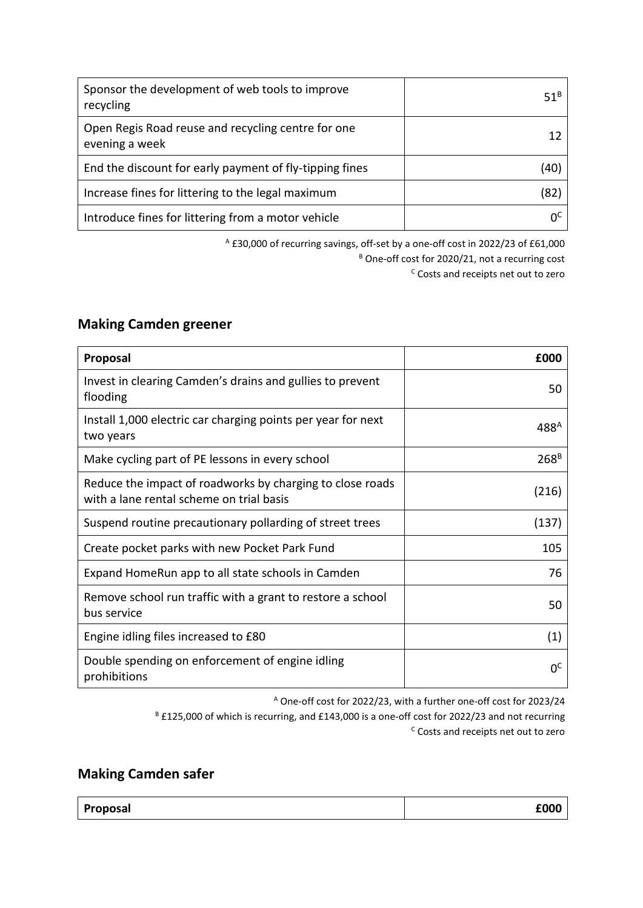| Sponsor the development of web tools to improve<br>recycling         | $51^B$         |
|----------------------------------------------------------------------|----------------|
| Open Regis Road reuse and recycling centre for one<br>evening a week |                |
| End the discount for early payment of fly-tipping fines              | (40)           |
| Increase fines for littering to the legal maximum                    | (82            |
| Introduce fines for littering from a motor vehicle                   | U <sub>c</sub> |

<sup>A</sup> £30,000 of recurring savings, off-set by a one-off cost in 2022/23 of £61,000 <sup>B</sup> One-off cost for 2020/21, not a recurring cost <sup>c</sup> Costs and receipts net out to zero

### **Making Camden greener**

| Proposal                                                                                              | £000             |
|-------------------------------------------------------------------------------------------------------|------------------|
| Invest in clearing Camden's drains and gullies to prevent<br>flooding                                 | 50               |
| Install 1,000 electric car charging points per year for next<br>two years                             | 488 <sup>A</sup> |
| Make cycling part of PE lessons in every school                                                       | 268 <sup>B</sup> |
| Reduce the impact of roadworks by charging to close roads<br>with a lane rental scheme on trial basis | (216)            |
| Suspend routine precautionary pollarding of street trees                                              | (137)            |
| Create pocket parks with new Pocket Park Fund                                                         | 105              |
| Expand HomeRun app to all state schools in Camden                                                     | 76               |
| Remove school run traffic with a grant to restore a school<br>bus service                             | 50               |
| Engine idling files increased to £80                                                                  | (1)              |
| Double spending on enforcement of engine idling<br>prohibitions                                       | 0 <sup>c</sup>   |

<sup>A</sup> One-off cost for 2022/23, with a further one-off cost for 2023/24 <sup>B</sup> £125,000 of which is recurring, and £143,000 is a one-off cost for 2022/23 and not recurring <sup>C</sup> Costs and receipts net out to zero

# **Making Camden safer**

| <b>E000</b><br><b>Proposal</b> |
|--------------------------------|
|--------------------------------|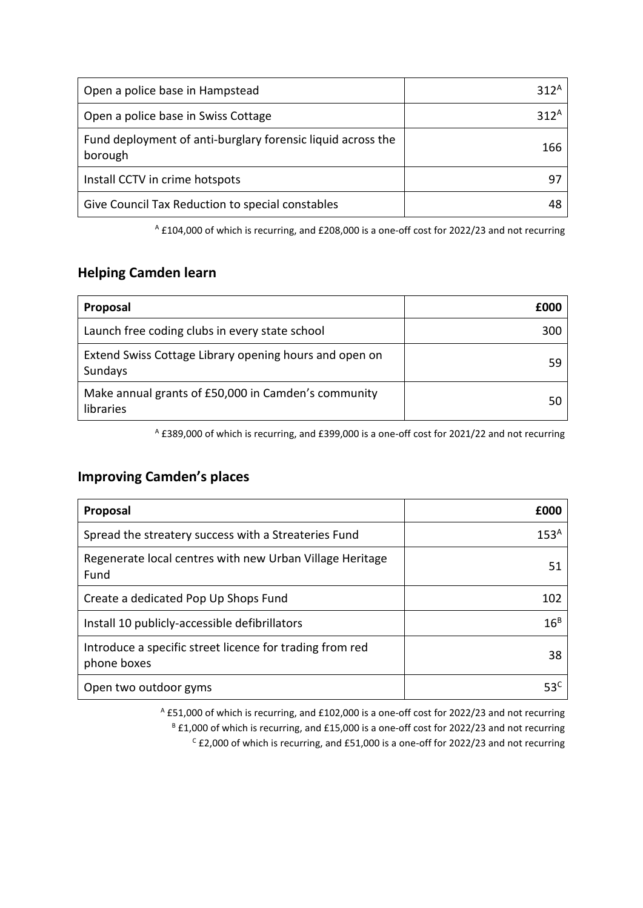| Open a police base in Hampstead                                        | 312 <sup>A</sup> |
|------------------------------------------------------------------------|------------------|
| Open a police base in Swiss Cottage                                    | 312 <sup>A</sup> |
| Fund deployment of anti-burglary forensic liquid across the<br>borough | 166              |
| Install CCTV in crime hotspots                                         | ч.               |
| Give Council Tax Reduction to special constables                       |                  |

<sup>A</sup> £104,000 of which is recurring, and £208,000 is a one-off cost for 2022/23 and not recurring

# **Helping Camden learn**

| Proposal                                                          | £000 |
|-------------------------------------------------------------------|------|
| Launch free coding clubs in every state school                    | 300  |
| Extend Swiss Cottage Library opening hours and open on<br>Sundays | 59   |
| Make annual grants of £50,000 in Camden's community<br>libraries  | 50   |

<sup>A</sup> £389,000 of which is recurring, and £399,000 is a one-off cost for 2021/22 and not recurring

## **Improving Camden's places**

| Proposal                                                                | £000             |
|-------------------------------------------------------------------------|------------------|
| Spread the streatery success with a Streateries Fund                    | 153 <sup>A</sup> |
| Regenerate local centres with new Urban Village Heritage<br>Fund        | 51               |
| Create a dedicated Pop Up Shops Fund                                    | 102              |
| Install 10 publicly-accessible defibrillators                           | 16 <sup>B</sup>  |
| Introduce a specific street licence for trading from red<br>phone boxes | 38               |
| Open two outdoor gyms                                                   | 53 <sup>C</sup>  |

<sup>A</sup> £51,000 of which is recurring, and £102,000 is a one-off cost for 2022/23 and not recurring  $B$  £1,000 of which is recurring, and £15,000 is a one-off cost for 2022/23 and not recurring <sup>C</sup> £2,000 of which is recurring, and £51,000 is a one-off for 2022/23 and not recurring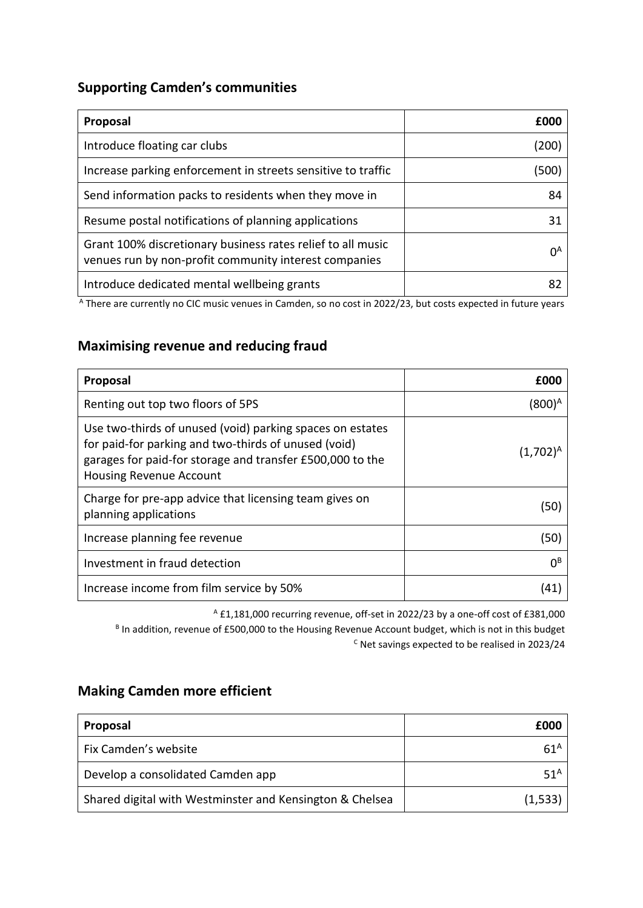## **Supporting Camden's communities**

| Proposal                                                                                                             | £000  |
|----------------------------------------------------------------------------------------------------------------------|-------|
| Introduce floating car clubs                                                                                         | (200) |
| Increase parking enforcement in streets sensitive to traffic                                                         | (500) |
| Send information packs to residents when they move in                                                                | 84    |
| Resume postal notifications of planning applications                                                                 | 31    |
| Grant 100% discretionary business rates relief to all music<br>venues run by non-profit community interest companies | ΩA    |
| Introduce dedicated mental wellbeing grants                                                                          |       |

<sup>A</sup> There are currently no CIC music venues in Camden, so no cost in 2022/23, but costs expected in future years

## **Maximising revenue and reducing fraud**

| <b>Proposal</b>                                                                                                                                                                                                  | £000               |
|------------------------------------------------------------------------------------------------------------------------------------------------------------------------------------------------------------------|--------------------|
| Renting out top two floors of 5PS                                                                                                                                                                                | (800) <sup>A</sup> |
| Use two-thirds of unused (void) parking spaces on estates<br>for paid-for parking and two-thirds of unused (void)<br>garages for paid-for storage and transfer £500,000 to the<br><b>Housing Revenue Account</b> | $(1,702)^n$        |
| Charge for pre-app advice that licensing team gives on<br>planning applications                                                                                                                                  | (50                |
| Increase planning fee revenue                                                                                                                                                                                    | (50)               |
| Investment in fraud detection                                                                                                                                                                                    | $0^{\text{B}}$     |
| Increase income from film service by 50%                                                                                                                                                                         |                    |

<sup>A</sup> £1,181,000 recurring revenue, off-set in 2022/23 by a one-off cost of £381,000 <sup>B</sup> In addition, revenue of £500,000 to the Housing Revenue Account budget, which is not in this budget <sup>C</sup> Net savings expected to be realised in 2023/24

## **Making Camden more efficient**

| Proposal                                                 | £000            |
|----------------------------------------------------------|-----------------|
| Fix Camden's website                                     | $61^A$          |
| Develop a consolidated Camden app                        | 51 <sup>A</sup> |
| Shared digital with Westminster and Kensington & Chelsea | (1,533)         |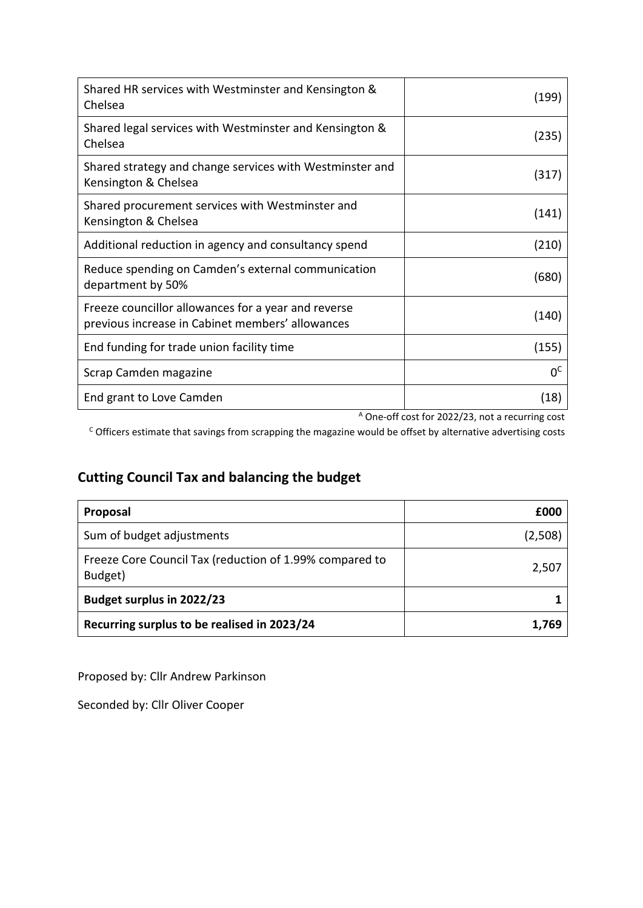| Shared HR services with Westminster and Kensington &<br>Chelsea                                         | (199)          |
|---------------------------------------------------------------------------------------------------------|----------------|
| Shared legal services with Westminster and Kensington &<br>Chelsea                                      | (235)          |
| Shared strategy and change services with Westminster and<br>Kensington & Chelsea                        | (317)          |
| Shared procurement services with Westminster and<br>Kensington & Chelsea                                | (141)          |
| Additional reduction in agency and consultancy spend                                                    | (210)          |
| Reduce spending on Camden's external communication<br>department by 50%                                 | (680)          |
| Freeze councillor allowances for a year and reverse<br>previous increase in Cabinet members' allowances | (140)          |
| End funding for trade union facility time                                                               | (155)          |
| Scrap Camden magazine                                                                                   | 0 <sup>c</sup> |
| End grant to Love Camden                                                                                | (18)           |

<sup>A</sup> One-off cost for 2022/23, not a recurring cost

 $c$  Officers estimate that savings from scrapping the magazine would be offset by alternative advertising costs

# **Cutting Council Tax and balancing the budget**

| Proposal                                                           | £000    |
|--------------------------------------------------------------------|---------|
| Sum of budget adjustments                                          | (2,508) |
| Freeze Core Council Tax (reduction of 1.99% compared to<br>Budget) | 2,507   |
| <b>Budget surplus in 2022/23</b>                                   |         |
| Recurring surplus to be realised in 2023/24                        | 1.769   |

Proposed by: Cllr Andrew Parkinson

Seconded by: Cllr Oliver Cooper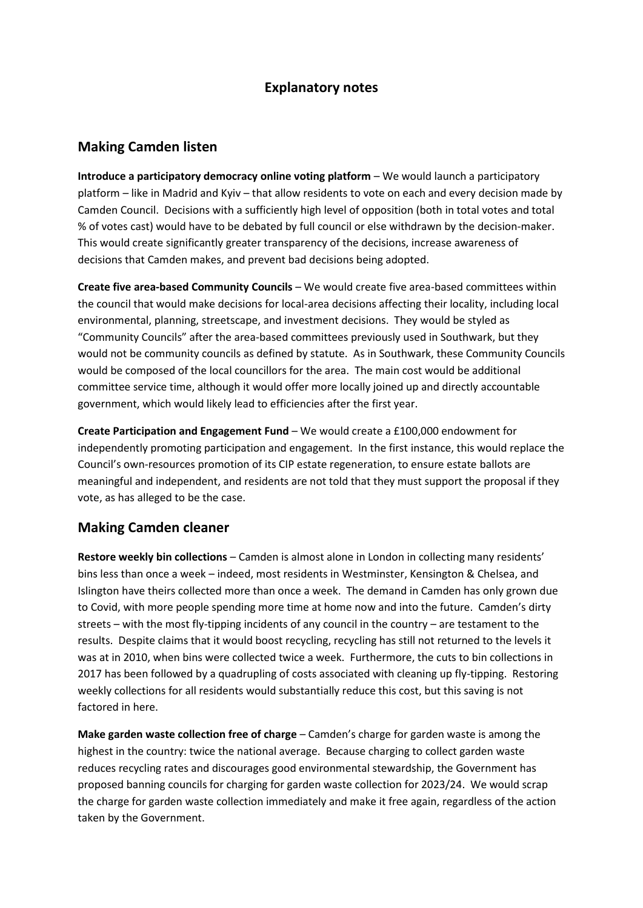#### **Explanatory notes**

#### **Making Camden listen**

**Introduce a participatory democracy online voting platform** – We would launch a participatory platform – like in Madrid and Kyiv – that allow residents to vote on each and every decision made by Camden Council. Decisions with a sufficiently high level of opposition (both in total votes and total % of votes cast) would have to be debated by full council or else withdrawn by the decision-maker. This would create significantly greater transparency of the decisions, increase awareness of decisions that Camden makes, and prevent bad decisions being adopted.

**Create five area-based Community Councils** – We would create five area-based committees within the council that would make decisions for local-area decisions affecting their locality, including local environmental, planning, streetscape, and investment decisions. They would be styled as "Community Councils" after the area-based committees previously used in Southwark, but they would not be community councils as defined by statute. As in Southwark, these Community Councils would be composed of the local councillors for the area. The main cost would be additional committee service time, although it would offer more locally joined up and directly accountable government, which would likely lead to efficiencies after the first year.

**Create Participation and Engagement Fund** – We would create a £100,000 endowment for independently promoting participation and engagement. In the first instance, this would replace the Council's own-resources promotion of its CIP estate regeneration, to ensure estate ballots are meaningful and independent, and residents are not told that they must support the proposal if they vote, as has alleged to be the case.

#### **Making Camden cleaner**

**Restore weekly bin collections** – Camden is almost alone in London in collecting many residents' bins less than once a week – indeed, most residents in Westminster, Kensington & Chelsea, and Islington have theirs collected more than once a week. The demand in Camden has only grown due to Covid, with more people spending more time at home now and into the future. Camden's dirty streets – with the most fly-tipping incidents of any council in the country – are testament to the results. Despite claims that it would boost recycling, recycling has still not returned to the levels it was at in 2010, when bins were collected twice a week. Furthermore, the cuts to bin collections in 2017 has been followed by a quadrupling of costs associated with cleaning up fly-tipping. Restoring weekly collections for all residents would substantially reduce this cost, but this saving is not factored in here.

**Make garden waste collection free of charge** – Camden's charge for garden waste is among the highest in the country: twice the national average. Because charging to collect garden waste reduces recycling rates and discourages good environmental stewardship, the Government has proposed banning councils for charging for garden waste collection for 2023/24. We would scrap the charge for garden waste collection immediately and make it free again, regardless of the action taken by the Government.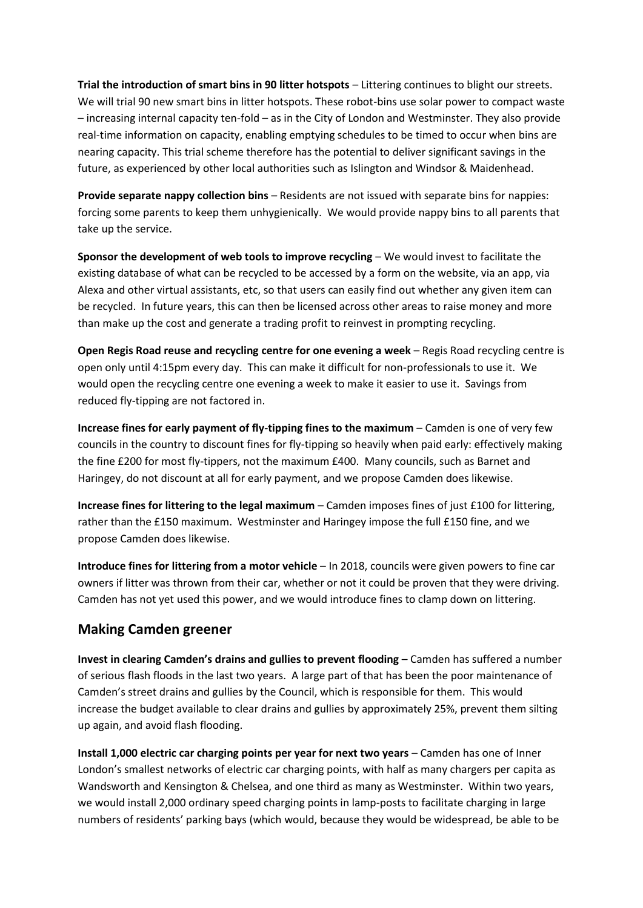**Trial the introduction of smart bins in 90 litter hotspots** – Littering continues to blight our streets. We will trial 90 new smart bins in litter hotspots. These robot-bins use solar power to compact waste – increasing internal capacity ten-fold – as in the City of London and Westminster. They also provide real-time information on capacity, enabling emptying schedules to be timed to occur when bins are nearing capacity. This trial scheme therefore has the potential to deliver significant savings in the future, as experienced by other local authorities such as Islington and Windsor & Maidenhead.

**Provide separate nappy collection bins** – Residents are not issued with separate bins for nappies: forcing some parents to keep them unhygienically. We would provide nappy bins to all parents that take up the service.

**Sponsor the development of web tools to improve recycling** – We would invest to facilitate the existing database of what can be recycled to be accessed by a form on the website, via an app, via Alexa and other virtual assistants, etc, so that users can easily find out whether any given item can be recycled. In future years, this can then be licensed across other areas to raise money and more than make up the cost and generate a trading profit to reinvest in prompting recycling.

**Open Regis Road reuse and recycling centre for one evening a week** – Regis Road recycling centre is open only until 4:15pm every day. This can make it difficult for non-professionals to use it. We would open the recycling centre one evening a week to make it easier to use it. Savings from reduced fly-tipping are not factored in.

**Increase fines for early payment of fly-tipping fines to the maximum** – Camden is one of very few councils in the country to discount fines for fly-tipping so heavily when paid early: effectively making the fine £200 for most fly-tippers, not the maximum £400. Many councils, such as Barnet and Haringey, do not discount at all for early payment, and we propose Camden does likewise.

**Increase fines for littering to the legal maximum** – Camden imposes fines of just £100 for littering, rather than the £150 maximum. Westminster and Haringey impose the full £150 fine, and we propose Camden does likewise.

**Introduce fines for littering from a motor vehicle** – In 2018, councils were given powers to fine car owners if litter was thrown from their car, whether or not it could be proven that they were driving. Camden has not yet used this power, and we would introduce fines to clamp down on littering.

### **Making Camden greener**

**Invest in clearing Camden's drains and gullies to prevent flooding** – Camden has suffered a number of serious flash floods in the last two years. A large part of that has been the poor maintenance of Camden's street drains and gullies by the Council, which is responsible for them. This would increase the budget available to clear drains and gullies by approximately 25%, prevent them silting up again, and avoid flash flooding.

Install 1,000 electric car charging points per year for next two years - Camden has one of Inner London's smallest networks of electric car charging points, with half as many chargers per capita as Wandsworth and Kensington & Chelsea, and one third as many as Westminster. Within two years, we would install 2,000 ordinary speed charging points in lamp-posts to facilitate charging in large numbers of residents' parking bays (which would, because they would be widespread, be able to be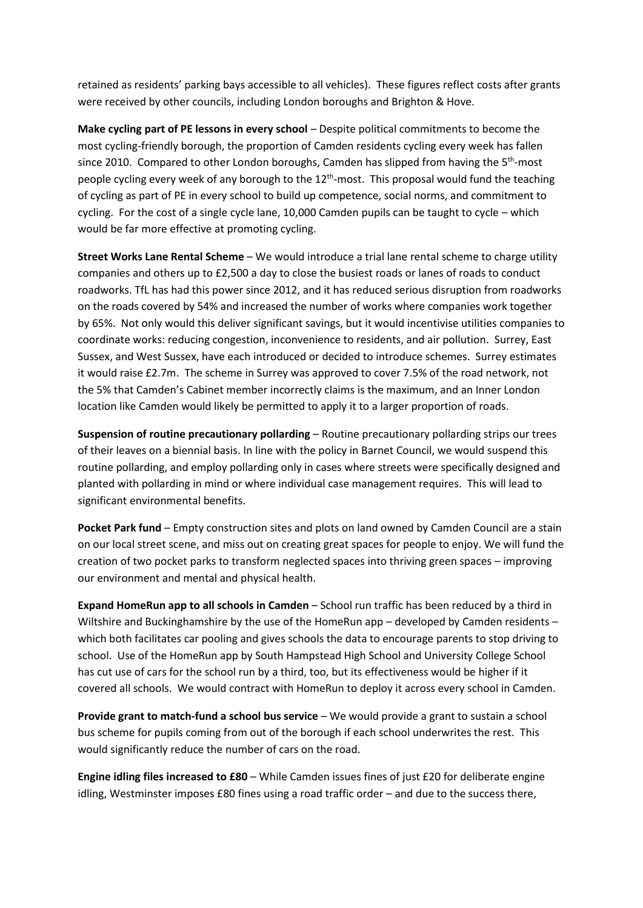retained as residents' parking bays accessible to all vehicles). These figures reflect costs after grants were received by other councils, including London boroughs and Brighton & Hove.

**Make cycling part of PE lessons in every school – Despite political commitments to become the** most cycling-friendly borough, the proportion of Camden residents cycling every week has fallen since 2010. Compared to other London boroughs, Camden has slipped from having the 5<sup>th</sup>-most people cycling every week of any borough to the 12<sup>th</sup>-most. This proposal would fund the teaching of cycling as part of PE in every school to build up competence, social norms, and commitment to cycling. For the cost of a single cycle lane, 10,000 Camden pupils can be taught to cycle – which would be far more effective at promoting cycling.

**Street Works Lane Rental Scheme** – We would introduce a trial lane rental scheme to charge utility companies and others up to £2,500 a day to close the busiest roads or lanes of roads to conduct roadworks. TfL has had this power since 2012, and it has reduced serious disruption from roadworks on the roads covered by 54% and increased the number of works where companies work together by 65%. Not only would this deliver significant savings, but it would incentivise utilities companies to coordinate works: reducing congestion, inconvenience to residents, and air pollution. Surrey, East Sussex, and West Sussex, have each introduced or decided to introduce schemes. Surrey estimates it would raise £2.7m. The scheme in Surrey was approved to cover 7.5% of the road network, not the 5% that Camden's Cabinet member incorrectly claims is the maximum, and an Inner London location like Camden would likely be permitted to apply it to a larger proportion of roads.

**Suspension of routine precautionary pollarding** – Routine precautionary pollarding strips our trees of their leaves on a biennial basis. In line with the policy in Barnet Council, we would suspend this routine pollarding, and employ pollarding only in cases where streets were specifically designed and planted with pollarding in mind or where individual case management requires. This will lead to significant environmental benefits.

**Pocket Park fund** – Empty construction sites and plots on land owned by Camden Council are a stain on our local street scene, and miss out on creating great spaces for people to enjoy. We will fund the creation of two pocket parks to transform neglected spaces into thriving green spaces – improving our environment and mental and physical health.

**Expand HomeRun app to all schools in Camden** – School run traffic has been reduced by a third in Wiltshire and Buckinghamshire by the use of the HomeRun app – developed by Camden residents – which both facilitates car pooling and gives schools the data to encourage parents to stop driving to school. Use of the HomeRun app by South Hampstead High School and University College School has cut use of cars for the school run by a third, too, but its effectiveness would be higher if it covered all schools. We would contract with HomeRun to deploy it across every school in Camden.

**Provide grant to match-fund a school bus service** – We would provide a grant to sustain a school bus scheme for pupils coming from out of the borough if each school underwrites the rest. This would significantly reduce the number of cars on the road.

**Engine idling files increased to £80** – While Camden issues fines of just £20 for deliberate engine idling, Westminster imposes £80 fines using a road traffic order – and due to the success there,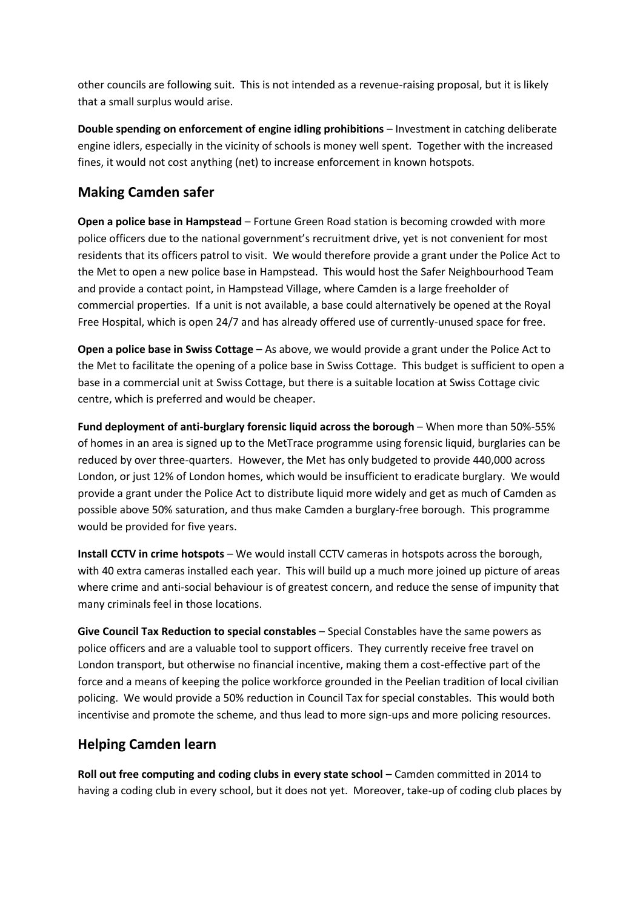other councils are following suit. This is not intended as a revenue-raising proposal, but it is likely that a small surplus would arise.

**Double spending on enforcement of engine idling prohibitions** – Investment in catching deliberate engine idlers, especially in the vicinity of schools is money well spent. Together with the increased fines, it would not cost anything (net) to increase enforcement in known hotspots.

### **Making Camden safer**

**Open a police base in Hampstead** – Fortune Green Road station is becoming crowded with more police officers due to the national government's recruitment drive, yet is not convenient for most residents that its officers patrol to visit. We would therefore provide a grant under the Police Act to the Met to open a new police base in Hampstead. This would host the Safer Neighbourhood Team and provide a contact point, in Hampstead Village, where Camden is a large freeholder of commercial properties. If a unit is not available, a base could alternatively be opened at the Royal Free Hospital, which is open 24/7 and has already offered use of currently-unused space for free.

**Open a police base in Swiss Cottage** – As above, we would provide a grant under the Police Act to the Met to facilitate the opening of a police base in Swiss Cottage. This budget is sufficient to open a base in a commercial unit at Swiss Cottage, but there is a suitable location at Swiss Cottage civic centre, which is preferred and would be cheaper.

**Fund deployment of anti-burglary forensic liquid across the borough – When more than 50%-55%** of homes in an area is signed up to the MetTrace programme using forensic liquid, burglaries can be reduced by over three-quarters. However, the Met has only budgeted to provide 440,000 across London, or just 12% of London homes, which would be insufficient to eradicate burglary. We would provide a grant under the Police Act to distribute liquid more widely and get as much of Camden as possible above 50% saturation, and thus make Camden a burglary-free borough. This programme would be provided for five years.

**Install CCTV in crime hotspots** – We would install CCTV cameras in hotspots across the borough, with 40 extra cameras installed each year. This will build up a much more joined up picture of areas where crime and anti-social behaviour is of greatest concern, and reduce the sense of impunity that many criminals feel in those locations.

**Give Council Tax Reduction to special constables** – Special Constables have the same powers as police officers and are a valuable tool to support officers. They currently receive free travel on London transport, but otherwise no financial incentive, making them a cost-effective part of the force and a means of keeping the police workforce grounded in the Peelian tradition of local civilian policing. We would provide a 50% reduction in Council Tax for special constables. This would both incentivise and promote the scheme, and thus lead to more sign-ups and more policing resources.

### **Helping Camden learn**

**Roll out free computing and coding clubs in every state school** – Camden committed in 2014 to having a coding club in every school, but it does not yet. Moreover, take-up of coding club places by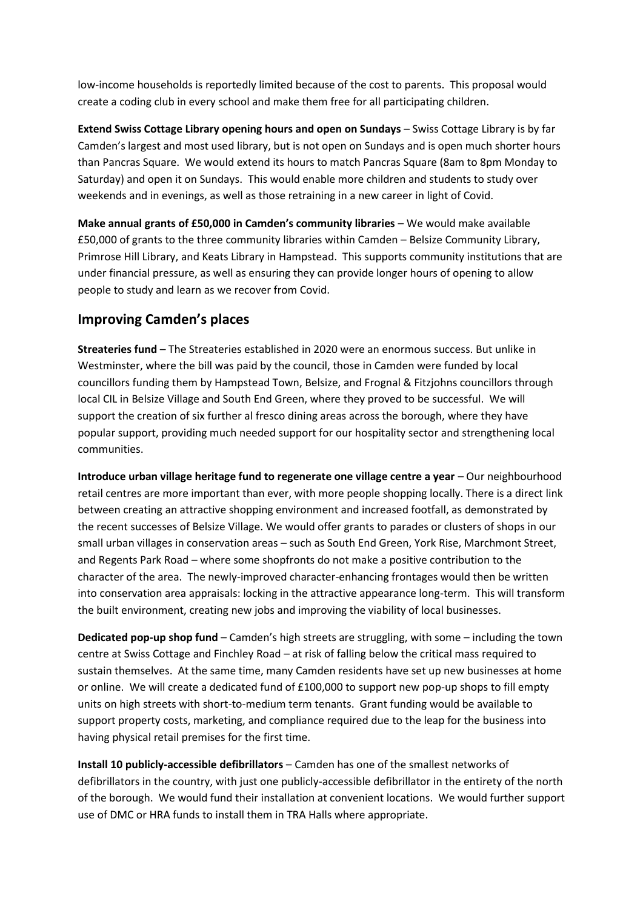low-income households is reportedly limited because of the cost to parents. This proposal would create a coding club in every school and make them free for all participating children.

**Extend Swiss Cottage Library opening hours and open on Sundays** – Swiss Cottage Library is by far Camden's largest and most used library, but is not open on Sundays and is open much shorter hours than Pancras Square. We would extend its hours to match Pancras Square (8am to 8pm Monday to Saturday) and open it on Sundays. This would enable more children and students to study over weekends and in evenings, as well as those retraining in a new career in light of Covid.

**Make annual grants of £50,000 in Camden's community libraries** – We would make available £50,000 of grants to the three community libraries within Camden – Belsize Community Library, Primrose Hill Library, and Keats Library in Hampstead. This supports community institutions that are under financial pressure, as well as ensuring they can provide longer hours of opening to allow people to study and learn as we recover from Covid.

#### **Improving Camden's places**

**Streateries fund** – The Streateries established in 2020 were an enormous success. But unlike in Westminster, where the bill was paid by the council, those in Camden were funded by local councillors funding them by Hampstead Town, Belsize, and Frognal & Fitzjohns councillors through local CIL in Belsize Village and South End Green, where they proved to be successful. We will support the creation of six further al fresco dining areas across the borough, where they have popular support, providing much needed support for our hospitality sector and strengthening local communities.

**Introduce urban village heritage fund to regenerate one village centre a year** – Our neighbourhood retail centres are more important than ever, with more people shopping locally. There is a direct link between creating an attractive shopping environment and increased footfall, as demonstrated by the recent successes of Belsize Village. We would offer grants to parades or clusters of shops in our small urban villages in conservation areas – such as South End Green, York Rise, Marchmont Street, and Regents Park Road – where some shopfronts do not make a positive contribution to the character of the area. The newly-improved character-enhancing frontages would then be written into conservation area appraisals: locking in the attractive appearance long-term. This will transform the built environment, creating new jobs and improving the viability of local businesses.

**Dedicated pop-up shop fund** – Camden's high streets are struggling, with some – including the town centre at Swiss Cottage and Finchley Road – at risk of falling below the critical mass required to sustain themselves. At the same time, many Camden residents have set up new businesses at home or online. We will create a dedicated fund of £100,000 to support new pop-up shops to fill empty units on high streets with short-to-medium term tenants. Grant funding would be available to support property costs, marketing, and compliance required due to the leap for the business into having physical retail premises for the first time.

**Install 10 publicly-accessible defibrillators** – Camden has one of the smallest networks of defibrillators in the country, with just one publicly-accessible defibrillator in the entirety of the north of the borough. We would fund their installation at convenient locations. We would further support use of DMC or HRA funds to install them in TRA Halls where appropriate.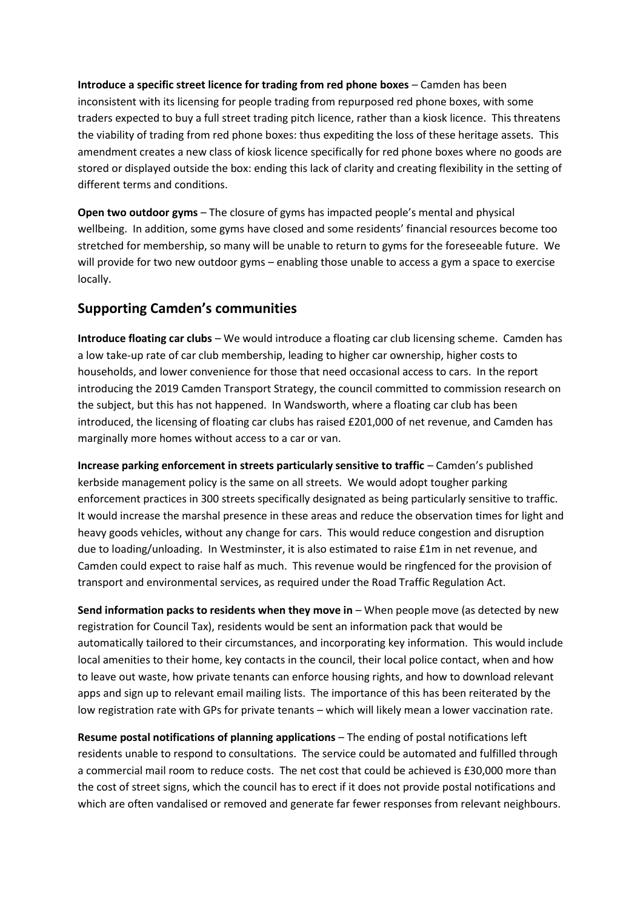**Introduce a specific street licence for trading from red phone boxes – Camden has been** inconsistent with its licensing for people trading from repurposed red phone boxes, with some traders expected to buy a full street trading pitch licence, rather than a kiosk licence. This threatens the viability of trading from red phone boxes: thus expediting the loss of these heritage assets. This amendment creates a new class of kiosk licence specifically for red phone boxes where no goods are stored or displayed outside the box: ending this lack of clarity and creating flexibility in the setting of different terms and conditions.

**Open two outdoor gyms** – The closure of gyms has impacted people's mental and physical wellbeing. In addition, some gyms have closed and some residents' financial resources become too stretched for membership, so many will be unable to return to gyms for the foreseeable future. We will provide for two new outdoor gyms – enabling those unable to access a gym a space to exercise locally.

### **Supporting Camden's communities**

**Introduce floating car clubs** – We would introduce a floating car club licensing scheme. Camden has a low take-up rate of car club membership, leading to higher car ownership, higher costs to households, and lower convenience for those that need occasional access to cars. In the report introducing the 2019 Camden Transport Strategy, the council committed to commission research on the subject, but this has not happened. In Wandsworth, where a floating car club has been introduced, the licensing of floating car clubs has raised £201,000 of net revenue, and Camden has marginally more homes without access to a car or van.

**Increase parking enforcement in streets particularly sensitive to traffic** – Camden's published kerbside management policy is the same on all streets. We would adopt tougher parking enforcement practices in 300 streets specifically designated as being particularly sensitive to traffic. It would increase the marshal presence in these areas and reduce the observation times for light and heavy goods vehicles, without any change for cars. This would reduce congestion and disruption due to loading/unloading. In Westminster, it is also estimated to raise £1m in net revenue, and Camden could expect to raise half as much. This revenue would be ringfenced for the provision of transport and environmental services, as required under the Road Traffic Regulation Act.

**Send information packs to residents when they move in** – When people move (as detected by new registration for Council Tax), residents would be sent an information pack that would be automatically tailored to their circumstances, and incorporating key information. This would include local amenities to their home, key contacts in the council, their local police contact, when and how to leave out waste, how private tenants can enforce housing rights, and how to download relevant apps and sign up to relevant email mailing lists. The importance of this has been reiterated by the low registration rate with GPs for private tenants – which will likely mean a lower vaccination rate.

**Resume postal notifications of planning applications** – The ending of postal notifications left residents unable to respond to consultations. The service could be automated and fulfilled through a commercial mail room to reduce costs. The net cost that could be achieved is £30,000 more than the cost of street signs, which the council has to erect if it does not provide postal notifications and which are often vandalised or removed and generate far fewer responses from relevant neighbours.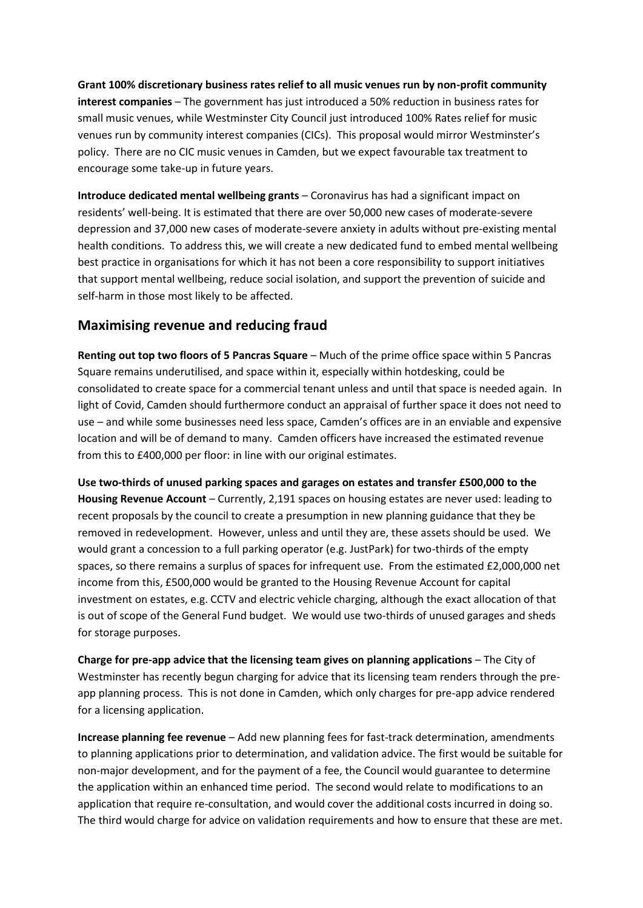**Grant 100% discretionary business rates relief to all music venues run by non-profit community interest companies** – The government has just introduced a 50% reduction in business rates for small music venues, while Westminster City Council just introduced 100% Rates relief for music venues run by community interest companies (CICs). This proposal would mirror Westminster's policy. There are no CIC music venues in Camden, but we expect favourable tax treatment to encourage some take-up in future years.

**Introduce dedicated mental wellbeing grants** – Coronavirus has had a significant impact on residents' well-being. It is estimated that there are over 50,000 new cases of moderate-severe depression and 37,000 new cases of moderate-severe anxiety in adults without pre-existing mental health conditions. To address this, we will create a new dedicated fund to embed mental wellbeing best practice in organisations for which it has not been a core responsibility to support initiatives that support mental wellbeing, reduce social isolation, and support the prevention of suicide and self-harm in those most likely to be affected.

### **Maximising revenue and reducing fraud**

**Renting out top two floors of 5 Pancras Square** – Much of the prime office space within 5 Pancras Square remains underutilised, and space within it, especially within hotdesking, could be consolidated to create space for a commercial tenant unless and until that space is needed again. In light of Covid, Camden should furthermore conduct an appraisal of further space it does not need to use – and while some businesses need less space, Camden's offices are in an enviable and expensive location and will be of demand to many. Camden officers have increased the estimated revenue from this to £400,000 per floor: in line with our original estimates.

**Use two-thirds of unused parking spaces and garages on estates and transfer £500,000 to the Housing Revenue Account** – Currently, 2,191 spaces on housing estates are never used: leading to recent proposals by the council to create a presumption in new planning guidance that they be removed in redevelopment. However, unless and until they are, these assets should be used. We would grant a concession to a full parking operator (e.g. JustPark) for two-thirds of the empty spaces, so there remains a surplus of spaces for infrequent use. From the estimated £2,000,000 net income from this, £500,000 would be granted to the Housing Revenue Account for capital investment on estates, e.g. CCTV and electric vehicle charging, although the exact allocation of that is out of scope of the General Fund budget. We would use two-thirds of unused garages and sheds for storage purposes.

**Charge for pre-app advice that the licensing team gives on planning applications** – The City of Westminster has recently begun charging for advice that its licensing team renders through the preapp planning process. This is not done in Camden, which only charges for pre-app advice rendered for a licensing application.

**Increase planning fee revenue** – Add new planning fees for fast-track determination, amendments to planning applications prior to determination, and validation advice. The first would be suitable for non-major development, and for the payment of a fee, the Council would guarantee to determine the application within an enhanced time period. The second would relate to modifications to an application that require re-consultation, and would cover the additional costs incurred in doing so. The third would charge for advice on validation requirements and how to ensure that these are met.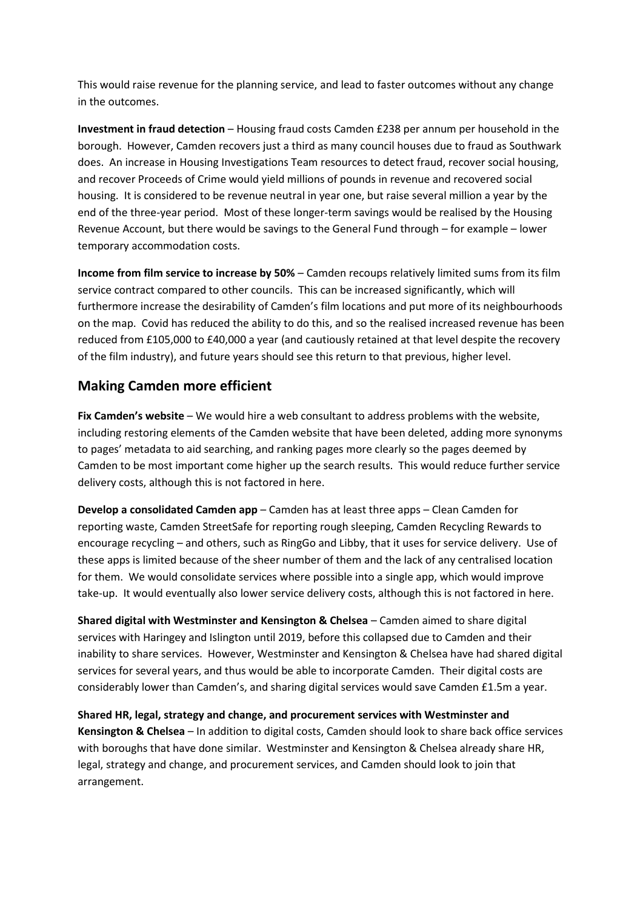This would raise revenue for the planning service, and lead to faster outcomes without any change in the outcomes.

**Investment in fraud detection** – Housing fraud costs Camden £238 per annum per household in the borough. However, Camden recovers just a third as many council houses due to fraud as Southwark does. An increase in Housing Investigations Team resources to detect fraud, recover social housing, and recover Proceeds of Crime would yield millions of pounds in revenue and recovered social housing. It is considered to be revenue neutral in year one, but raise several million a year by the end of the three-year period. Most of these longer-term savings would be realised by the Housing Revenue Account, but there would be savings to the General Fund through – for example – lower temporary accommodation costs.

**Income from film service to increase by 50%** – Camden recoups relatively limited sums from its film service contract compared to other councils. This can be increased significantly, which will furthermore increase the desirability of Camden's film locations and put more of its neighbourhoods on the map. Covid has reduced the ability to do this, and so the realised increased revenue has been reduced from £105,000 to £40,000 a year (and cautiously retained at that level despite the recovery of the film industry), and future years should see this return to that previous, higher level.

#### **Making Camden more efficient**

**Fix Camden's website** – We would hire a web consultant to address problems with the website, including restoring elements of the Camden website that have been deleted, adding more synonyms to pages' metadata to aid searching, and ranking pages more clearly so the pages deemed by Camden to be most important come higher up the search results. This would reduce further service delivery costs, although this is not factored in here.

**Develop a consolidated Camden app** – Camden has at least three apps – Clean Camden for reporting waste, Camden StreetSafe for reporting rough sleeping, Camden Recycling Rewards to encourage recycling – and others, such as RingGo and Libby, that it uses for service delivery. Use of these apps is limited because of the sheer number of them and the lack of any centralised location for them. We would consolidate services where possible into a single app, which would improve take-up. It would eventually also lower service delivery costs, although this is not factored in here.

**Shared digital with Westminster and Kensington & Chelsea** – Camden aimed to share digital services with Haringey and Islington until 2019, before this collapsed due to Camden and their inability to share services. However, Westminster and Kensington & Chelsea have had shared digital services for several years, and thus would be able to incorporate Camden. Their digital costs are considerably lower than Camden's, and sharing digital services would save Camden £1.5m a year.

**Shared HR, legal, strategy and change, and procurement services with Westminster and Kensington & Chelsea** – In addition to digital costs, Camden should look to share back office services with boroughs that have done similar. Westminster and Kensington & Chelsea already share HR, legal, strategy and change, and procurement services, and Camden should look to join that arrangement.